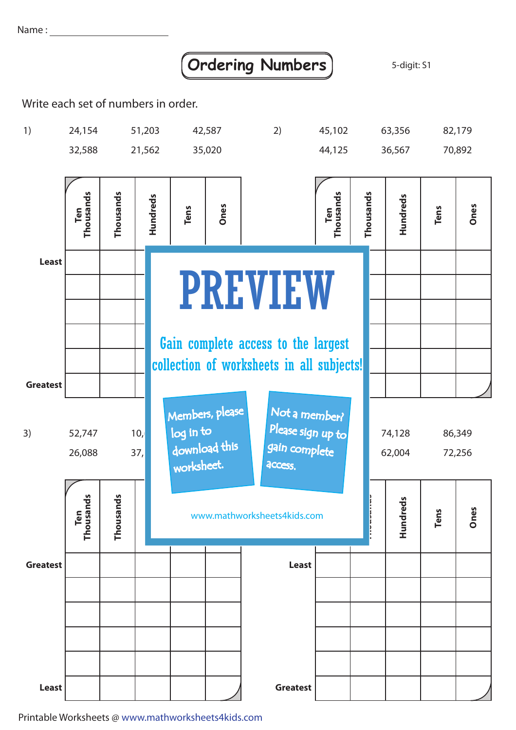Name :

## **Ordering Numbers** 3-digit: S1

Write each set of numbers in order.



Printable Worksheets @ www.mathworksheets4kids.com